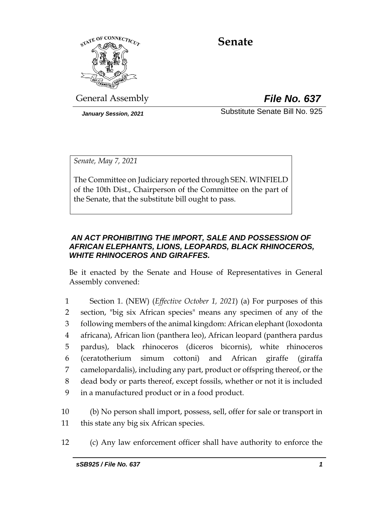

# **Senate**

General Assembly *File No. 637*

*January Session, 2021* Substitute Senate Bill No. 925

*Senate, May 7, 2021*

The Committee on Judiciary reported through SEN. WINFIELD of the 10th Dist., Chairperson of the Committee on the part of the Senate, that the substitute bill ought to pass.

## *AN ACT PROHIBITING THE IMPORT, SALE AND POSSESSION OF AFRICAN ELEPHANTS, LIONS, LEOPARDS, BLACK RHINOCEROS, WHITE RHINOCEROS AND GIRAFFES.*

Be it enacted by the Senate and House of Representatives in General Assembly convened:

 Section 1. (NEW) (*Effective October 1, 2021*) (a) For purposes of this section, "big six African species" means any specimen of any of the following members of the animal kingdom: African elephant (loxodonta africana), African lion (panthera leo), African leopard (panthera pardus pardus), black rhinoceros (diceros bicornis), white rhinoceros (ceratotherium simum cottoni) and African giraffe (giraffa camelopardalis), including any part, product or offspring thereof, or the dead body or parts thereof, except fossils, whether or not it is included in a manufactured product or in a food product.

10 (b) No person shall import, possess, sell, offer for sale or transport in 11 this state any big six African species.

12 (c) Any law enforcement officer shall have authority to enforce the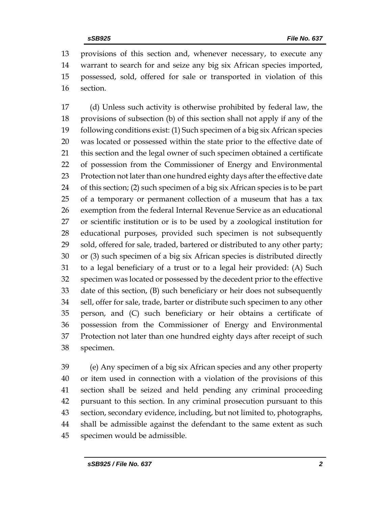provisions of this section and, whenever necessary, to execute any warrant to search for and seize any big six African species imported, possessed, sold, offered for sale or transported in violation of this section.

 (d) Unless such activity is otherwise prohibited by federal law, the provisions of subsection (b) of this section shall not apply if any of the following conditions exist: (1) Such specimen of a big six African species was located or possessed within the state prior to the effective date of this section and the legal owner of such specimen obtained a certificate of possession from the Commissioner of Energy and Environmental Protection not later than one hundred eighty days after the effective date of this section; (2) such specimen of a big six African species is to be part of a temporary or permanent collection of a museum that has a tax exemption from the federal Internal Revenue Service as an educational or scientific institution or is to be used by a zoological institution for educational purposes, provided such specimen is not subsequently sold, offered for sale, traded, bartered or distributed to any other party; or (3) such specimen of a big six African species is distributed directly to a legal beneficiary of a trust or to a legal heir provided: (A) Such specimen was located or possessed by the decedent prior to the effective date of this section, (B) such beneficiary or heir does not subsequently sell, offer for sale, trade, barter or distribute such specimen to any other person, and (C) such beneficiary or heir obtains a certificate of possession from the Commissioner of Energy and Environmental Protection not later than one hundred eighty days after receipt of such specimen.

 (e) Any specimen of a big six African species and any other property or item used in connection with a violation of the provisions of this section shall be seized and held pending any criminal proceeding pursuant to this section. In any criminal prosecution pursuant to this section, secondary evidence, including, but not limited to, photographs, shall be admissible against the defendant to the same extent as such specimen would be admissible.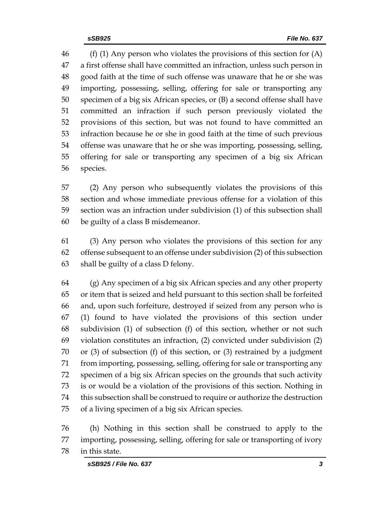(f) (1) Any person who violates the provisions of this section for (A) a first offense shall have committed an infraction, unless such person in good faith at the time of such offense was unaware that he or she was importing, possessing, selling, offering for sale or transporting any specimen of a big six African species, or (B) a second offense shall have committed an infraction if such person previously violated the provisions of this section, but was not found to have committed an infraction because he or she in good faith at the time of such previous offense was unaware that he or she was importing, possessing, selling, offering for sale or transporting any specimen of a big six African species.

 (2) Any person who subsequently violates the provisions of this section and whose immediate previous offense for a violation of this section was an infraction under subdivision (1) of this subsection shall be guilty of a class B misdemeanor.

 (3) Any person who violates the provisions of this section for any offense subsequent to an offense under subdivision (2) of this subsection shall be guilty of a class D felony.

 (g) Any specimen of a big six African species and any other property or item that is seized and held pursuant to this section shall be forfeited and, upon such forfeiture, destroyed if seized from any person who is (1) found to have violated the provisions of this section under subdivision (1) of subsection (f) of this section, whether or not such violation constitutes an infraction, (2) convicted under subdivision (2) or (3) of subsection (f) of this section, or (3) restrained by a judgment from importing, possessing, selling, offering for sale or transporting any specimen of a big six African species on the grounds that such activity is or would be a violation of the provisions of this section. Nothing in this subsection shall be construed to require or authorize the destruction of a living specimen of a big six African species.

 (h) Nothing in this section shall be construed to apply to the importing, possessing, selling, offering for sale or transporting of ivory in this state.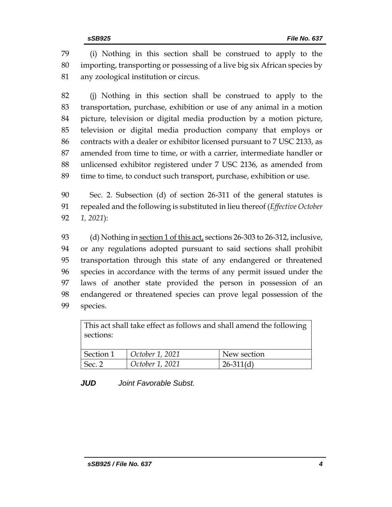(i) Nothing in this section shall be construed to apply to the importing, transporting or possessing of a live big six African species by any zoological institution or circus.

 (j) Nothing in this section shall be construed to apply to the transportation, purchase, exhibition or use of any animal in a motion picture, television or digital media production by a motion picture, television or digital media production company that employs or contracts with a dealer or exhibitor licensed pursuant to 7 USC 2133, as amended from time to time, or with a carrier, intermediate handler or unlicensed exhibitor registered under 7 USC 2136, as amended from time to time, to conduct such transport, purchase, exhibition or use.

 Sec. 2. Subsection (d) of section 26-311 of the general statutes is repealed and the following is substituted in lieu thereof (*Effective October 1, 2021*):

 (d) Nothing in section 1 of this act, sections 26-303 to 26-312, inclusive, or any regulations adopted pursuant to said sections shall prohibit transportation through this state of any endangered or threatened species in accordance with the terms of any permit issued under the laws of another state provided the person in possession of an endangered or threatened species can prove legal possession of the species.

This act shall take effect as follows and shall amend the following sections:

| Section 1      | October 1, 2021 | New section |
|----------------|-----------------|-------------|
| $\vert$ Sec. 2 | October 1, 2021 | $26-311(d)$ |

*JUD Joint Favorable Subst.*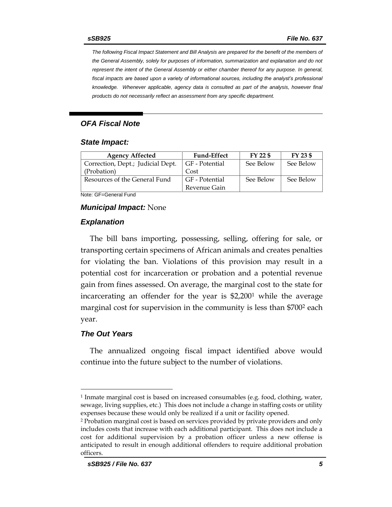*The following Fiscal Impact Statement and Bill Analysis are prepared for the benefit of the members of the General Assembly, solely for purposes of information, summarization and explanation and do not represent the intent of the General Assembly or either chamber thereof for any purpose. In general, fiscal impacts are based upon a variety of informational sources, including the analyst's professional knowledge. Whenever applicable, agency data is consulted as part of the analysis, however final products do not necessarily reflect an assessment from any specific department.*

#### *OFA Fiscal Note*

#### *State Impact:*

| <b>Agency Affected</b>            | <b>Fund-Effect</b> | FY 22 \$  | FY 23 \$  |
|-----------------------------------|--------------------|-----------|-----------|
| Correction, Dept.; Judicial Dept. | GF - Potential     | See Below | See Below |
| (Probation)                       | Cost               |           |           |
| Resources of the General Fund     | GF - Potential     | See Below | See Below |
|                                   | Revenue Gain       |           |           |

Note: GF=General Fund

#### *Municipal Impact:* None

#### *Explanation*

The bill bans importing, possessing, selling, offering for sale, or transporting certain specimens of African animals and creates penalties for violating the ban. Violations of this provision may result in a potential cost for incarceration or probation and a potential revenue gain from fines assessed. On average, the marginal cost to the state for incarcerating an offender for the year is \$2,200<sup>1</sup> while the average marginal cost for supervision in the community is less than \$700<sup>2</sup> each year.

#### *The Out Years*

The annualized ongoing fiscal impact identified above would continue into the future subject to the number of violations.

<sup>1</sup> Inmate marginal cost is based on increased consumables (e.g. food, clothing, water, sewage, living supplies, etc.) This does not include a change in staffing costs or utility expenses because these would only be realized if a unit or facility opened.

<sup>2</sup> Probation marginal cost is based on services provided by private providers and only includes costs that increase with each additional participant. This does not include a cost for additional supervision by a probation officer unless a new offense is anticipated to result in enough additional offenders to require additional probation officers.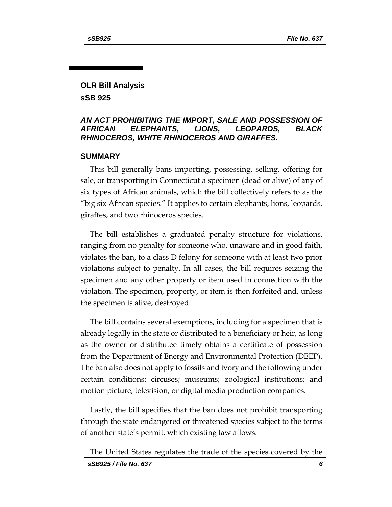## **OLR Bill Analysis sSB 925**

## *AN ACT PROHIBITING THE IMPORT, SALE AND POSSESSION OF AFRICAN ELEPHANTS, LIONS, LEOPARDS, BLACK RHINOCEROS, WHITE RHINOCEROS AND GIRAFFES.*

## **SUMMARY**

This bill generally bans importing, possessing, selling, offering for sale, or transporting in Connecticut a specimen (dead or alive) of any of six types of African animals, which the bill collectively refers to as the "big six African species." It applies to certain elephants, lions, leopards, giraffes, and two rhinoceros species.

The bill establishes a graduated penalty structure for violations, ranging from no penalty for someone who, unaware and in good faith, violates the ban, to a class D felony for someone with at least two prior violations subject to penalty. In all cases, the bill requires seizing the specimen and any other property or item used in connection with the violation. The specimen, property, or item is then forfeited and, unless the specimen is alive, destroyed.

The bill contains several exemptions, including for a specimen that is already legally in the state or distributed to a beneficiary or heir, as long as the owner or distributee timely obtains a certificate of possession from the Department of Energy and Environmental Protection (DEEP). The ban also does not apply to fossils and ivory and the following under certain conditions: circuses; museums; zoological institutions; and motion picture, television, or digital media production companies.

Lastly, the bill specifies that the ban does not prohibit transporting through the state endangered or threatened species subject to the terms of another state's permit, which existing law allows.

The United States regulates the trade of the species covered by the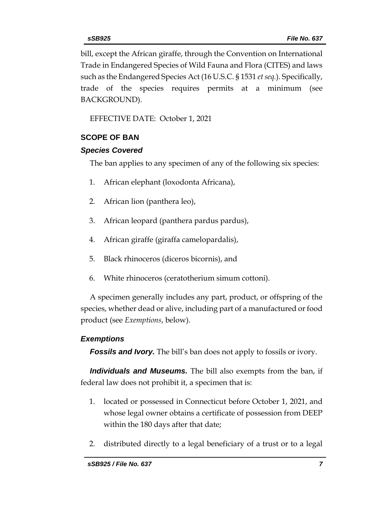bill, except the African giraffe, through the Convention on International Trade in Endangered Species of Wild Fauna and Flora (CITES) and laws such as the Endangered Species Act (16 U.S.C. § 1531 *et seq.*). Specifically, trade of the species requires permits at a minimum (see BACKGROUND).

EFFECTIVE DATE: October 1, 2021

## **SCOPE OF BAN**

## *Species Covered*

The ban applies to any specimen of any of the following six species:

- 1. African elephant (loxodonta Africana),
- 2. African lion (panthera leo),
- 3. African leopard (panthera pardus pardus),
- 4. African giraffe (giraffa camelopardalis),
- 5. Black rhinoceros (diceros bicornis), and
- 6. White rhinoceros (ceratotherium simum cottoni).

A specimen generally includes any part, product, or offspring of the species, whether dead or alive, including part of a manufactured or food product (see *Exemptions*, below).

## *Exemptions*

**Fossils and Ivory.** The bill's ban does not apply to fossils or ivory.

*Individuals and Museums.* The bill also exempts from the ban, if federal law does not prohibit it, a specimen that is:

- 1. located or possessed in Connecticut before October 1, 2021, and whose legal owner obtains a certificate of possession from DEEP within the 180 days after that date;
- 2. distributed directly to a legal beneficiary of a trust or to a legal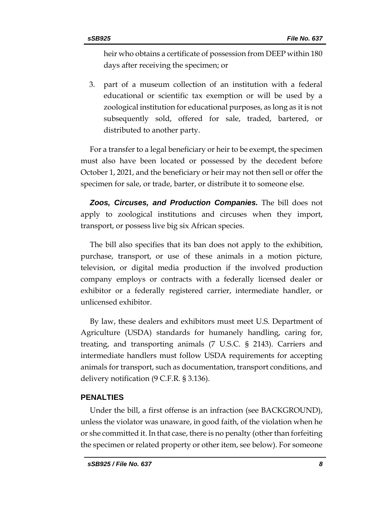heir who obtains a certificate of possession from DEEP within 180 days after receiving the specimen; or

3. part of a museum collection of an institution with a federal educational or scientific tax exemption or will be used by a zoological institution for educational purposes, as long as it is not subsequently sold, offered for sale, traded, bartered, or distributed to another party.

For a transfer to a legal beneficiary or heir to be exempt, the specimen must also have been located or possessed by the decedent before October 1, 2021, and the beneficiary or heir may not then sell or offer the specimen for sale, or trade, barter, or distribute it to someone else.

*Zoos, Circuses, and Production Companies.* The bill does not apply to zoological institutions and circuses when they import, transport, or possess live big six African species.

The bill also specifies that its ban does not apply to the exhibition, purchase, transport, or use of these animals in a motion picture, television, or digital media production if the involved production company employs or contracts with a federally licensed dealer or exhibitor or a federally registered carrier, intermediate handler, or unlicensed exhibitor.

By law, these dealers and exhibitors must meet U.S. Department of Agriculture (USDA) standards for humanely handling, caring for, treating, and transporting animals (7 U.S.C. § 2143). Carriers and intermediate handlers must follow USDA requirements for accepting animals for transport, such as documentation, transport conditions, and delivery notification (9 C.F.R. § 3.136).

#### **PENALTIES**

Under the bill, a first offense is an infraction (see BACKGROUND), unless the violator was unaware, in good faith, of the violation when he or she committed it. In that case, there is no penalty (other than forfeiting the specimen or related property or other item, see below). For someone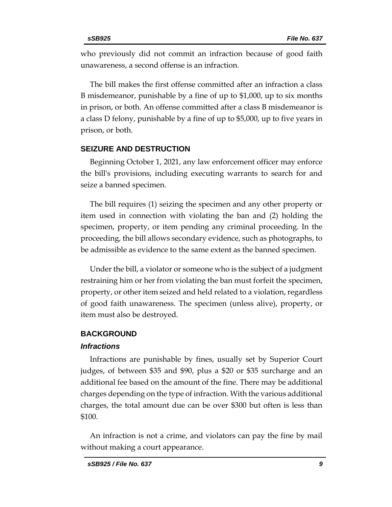who previously did not commit an infraction because of good faith unawareness, a second offense is an infraction.

The bill makes the first offense committed after an infraction a class B misdemeanor, punishable by a fine of up to \$1,000, up to six months in prison, or both. An offense committed after a class B misdemeanor is a class D felony, punishable by a fine of up to \$5,000, up to five years in prison, or both.

## **SEIZURE AND DESTRUCTION**

Beginning October 1, 2021, any law enforcement officer may enforce the bill's provisions, including executing warrants to search for and seize a banned specimen.

The bill requires (1) seizing the specimen and any other property or item used in connection with violating the ban and (2) holding the specimen, property, or item pending any criminal proceeding. In the proceeding, the bill allows secondary evidence, such as photographs, to be admissible as evidence to the same extent as the banned specimen.

Under the bill, a violator or someone who is the subject of a judgment restraining him or her from violating the ban must forfeit the specimen, property, or other item seized and held related to a violation, regardless of good faith unawareness. The specimen (unless alive), property, or item must also be destroyed.

## **BACKGROUND**

#### *Infractions*

Infractions are punishable by fines, usually set by Superior Court judges, of between \$35 and \$90, plus a \$20 or \$35 surcharge and an additional fee based on the amount of the fine. There may be additional charges depending on the type of infraction. With the various additional charges, the total amount due can be over \$300 but often is less than \$100.

An infraction is not a crime, and violators can pay the fine by mail without making a court appearance.